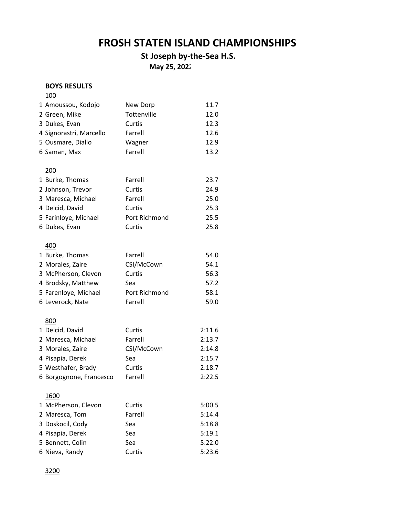# **FROSH STATEN ISLAND CHAMPIONSHIPS**

## **St Joseph by-the-Sea H.S.**

**May 25, 2022** 

#### **BOYS RESULTS**

| <u>100</u>              |               |        |
|-------------------------|---------------|--------|
| 1 Amoussou, Kodojo      | New Dorp      | 11.7   |
| 2 Green, Mike           | Tottenville   | 12.0   |
| 3 Dukes, Evan           | Curtis        | 12.3   |
| 4 Signorastri, Marcello | Farrell       | 12.6   |
| 5 Ousmare, Diallo       | Wagner        | 12.9   |
| 6 Saman, Max            | Farrell       | 13.2   |
|                         |               |        |
| 200                     |               |        |
| 1 Burke, Thomas         | Farrell       | 23.7   |
| 2 Johnson, Trevor       | Curtis        | 24.9   |
| 3 Maresca, Michael      | Farrell       | 25.0   |
| 4 Delcid, David         | Curtis        | 25.3   |
| 5 Farinloye, Michael    | Port Richmond | 25.5   |
| 6 Dukes, Evan           | Curtis        | 25.8   |
|                         |               |        |
| 400                     |               |        |
| 1 Burke, Thomas         | Farrell       | 54.0   |
| 2 Morales, Zaire        | CSI/McCown    | 54.1   |
| 3 McPherson, Clevon     | Curtis        | 56.3   |
| 4 Brodsky, Matthew      | Sea           | 57.2   |
| 5 Farenloye, Michael    | Port Richmond | 58.1   |
| 6 Leverock, Nate        | Farrell       | 59.0   |
|                         |               |        |
| 800                     |               |        |
| 1 Delcid, David         | Curtis        | 2:11.6 |
| 2 Maresca, Michael      | Farrell       | 2:13.7 |
| 3 Morales, Zaire        | CSI/McCown    | 2:14.8 |
| 4 Pisapia, Derek        | Sea           | 2:15.7 |
| 5 Westhafer, Brady      | Curtis        | 2:18.7 |
| 6 Borgognone, Francesco | Farrell       | 2:22.5 |
|                         |               |        |
| 1600                    |               |        |
| 1 McPherson, Clevon     | Curtis        | 5:00.5 |
| 2 Maresca, Tom          | Farrell       | 5:14.4 |
| 3 Doskocil, Cody        | Sea           | 5:18.8 |
| 4 Pisapia, Derek        | Sea           | 5:19.1 |
| 5 Bennett, Colin        | Sea           | 5:22.0 |
| 6 Nieva, Randy          | Curtis        | 5:23.6 |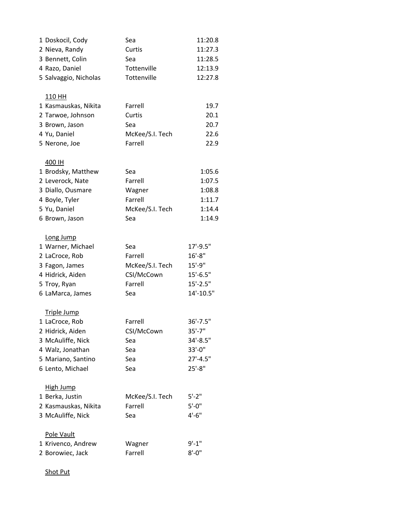| 1 Doskocil, Cody      | Sea             | 11:20.8       |
|-----------------------|-----------------|---------------|
| 2 Nieva, Randy        | Curtis          | 11:27.3       |
| 3 Bennett, Colin      | Sea             | 11:28.5       |
| 4 Razo, Daniel        | Tottenville     | 12:13.9       |
| 5 Salvaggio, Nicholas | Tottenville     | 12:27.8       |
| 110 HH                |                 |               |
| 1 Kasmauskas, Nikita  | Farrell         | 19.7          |
| 2 Tarwoe, Johnson     | Curtis          | 20.1          |
| 3 Brown, Jason        | Sea             | 20.7          |
| 4 Yu, Daniel          | McKee/S.I. Tech | 22.6          |
| 5 Nerone, Joe         | Farrell         | 22.9          |
| 400 IH                |                 |               |
| 1 Brodsky, Matthew    | Sea             | 1:05.6        |
| 2 Leverock, Nate      | Farrell         | 1:07.5        |
| 3 Diallo, Ousmare     | Wagner          | 1:08.8        |
| 4 Boyle, Tyler        | Farrell         | 1:11.7        |
| 5 Yu, Daniel          | McKee/S.I. Tech | 1:14.4        |
| 6 Brown, Jason        | Sea             | 1:14.9        |
| Long Jump             |                 |               |
| 1 Warner, Michael     | Sea             | $17' - 9.5''$ |
| 2 LaCroce, Rob        | Farrell         | $16' - 8''$   |
| 3 Fagon, James        | McKee/S.I. Tech | $15'-9''$     |
| 4 Hidrick, Aiden      | CSI/McCown      | $15'-6.5"$    |
| 5 Troy, Ryan          | Farrell         | $15'-2.5"$    |
| 6 LaMarca, James      | Sea             | 14'-10.5"     |
| <b>Triple Jump</b>    |                 |               |
| 1 LaCroce, Rob        | Farrell         | $36' - 7.5"$  |
| 2 Hidrick, Aiden      | CSI/McCown      | $35'$ -7"     |
| 3 McAuliffe, Nick     | Sea             | 34'-8.5"      |
| 4 Walz, Jonathan      | Sea             | 33'-0"        |
| 5 Mariano, Santino    | Sea             | $27' - 4.5''$ |
| 6 Lento, Michael      | Sea             | $25'-8''$     |
| <b>High Jump</b>      |                 |               |
| 1 Berka, Justin       | McKee/S.I. Tech | $5' - 2"$     |
| 2 Kasmauskas, Nikita  | Farrell         | $5' - 0''$    |
| 3 McAuliffe, Nick     | Sea             | $4'-6''$      |
| Pole Vault            |                 |               |
| 1 Krivenco, Andrew    | Wagner          | $9' - 1''$    |
| 2 Borowiec, Jack      | Farrell         | $8' - 0''$    |

Shot Put